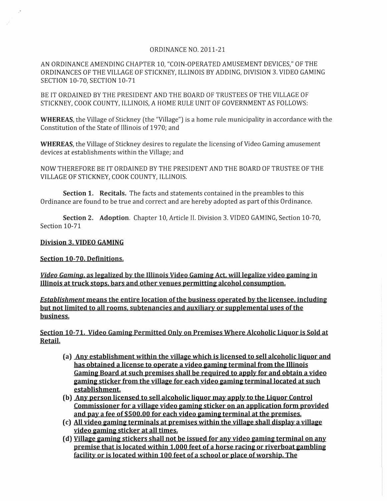## ORDINANCE NO. 2011-21

AN ORDINANCE AMENDING CHAPTER 10, "COIN-OPERATED AMUSEMENT DEVICES," OF THE ORDINANCES OF THE VILLAGE OF STICKNEY, ILLINOIS BY ADDING, DIVISION 3. VIDEO GAMING SECTION 10-70, SECTION 10-71

BE IT ORDAINED BY THE PRESIDENT AND THE BOARD OF TRUSTEES OF THE VILLAGE OF STICKNEY, COOK COUNTY, ILLINOIS, A HOME RULE UNIT OF GOVERNMENT AS FOLLOWS:

**WHEREAS,** the Village of Stickney (the "Village") is a home rule municipality in accordance with the Constitution of the State of Illinois of 1970; and

**WHEREAS,** the Village of Stickney desires to regulate the licensing of Video Gaming amusement devices at establishments within the Village; and

NOW THEREFORE BE IT ORDAINED BY THE PRESIDENT AND THE BOARD OF TRUSTEE OF THE VILLAGE OF STICKNEY, COOK COUNTY, ILLINOIS.

**Section 1. Recitals.** The facts and statements contained in the preambles to this Ordinance are found to be true and correct and are hereby adopted as part of this Ordinance.

**Section 2. Adoption.** Chapter 10, Article II. Division 3. VIDEO GAMING, Section 10-70, Section 10-71

## **Division 3. VIDEO GAMING**

## **Section 10-70. Definitions.**

*<u>Video Gaming, as legalized by the Illinois Video Gaming Act, will legalize video gaming in*</u> **Illinois at truck stops. bars and other venues permitting alcohol consumption.** 

**Establishment means the entire location of the business operated by the licensee, including but not limited to all rooms. subtenancies and auxiliary or supplemental uses of the business.** 

**Section 10-71. Video Gaming Permitted Only on Premises Where Alcoholic liquor is Sold at Retail.** 

- **(a) Any establishment within the village which is licensed to sell alcoholic liquor and has obtained a license to operate a video gaming terminal from the Illinois Gaming Board at such premises shall be required to apply for and obtain a video gaming sticker from the village for each video gaming** terminal located **at such establishment.**
- **(b) Any person licensed to sell alcoholic liquor may apply to the liquor Control Commissioner for a village video gaming sticker on an application form provided and pay a fee of \$500.00 for each video gaming terminal at the premises.**
- **(c) All video gaming terminals at premises within the village shall display a village video gaming sticker at all times.**
- **(d) Village gaming stickers shall not be issued for any video gaming terminal on any premise that is located within 1.000 feet of a horse racing or riverboat gambling facility or is located within 100 feet of a school or place of worship. The**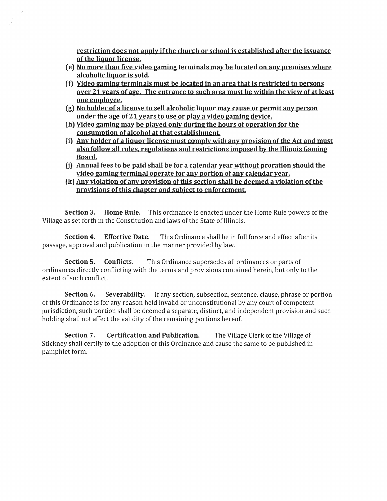restriction does not apply if the church or school is established after the issuance of the liquor license.

- (e) No more than five video gaming terminals may be located on any premises where alcoholic liquor is sold.
- (f) Video gaming terminals must be located in an area that is restricted to persons over 21 years of age. The entrance to such area must be within the view of at least one employee.
- (g) No holder of a license to sell alcoholic liquor may cause or permit any person under the age of 21 years to use or play a video gaming device.
- (h) Video gaming may be played only during the hours of operation for the consumption of alcohol at that establishment.
- (i) Any holder of a liquor license must comply with any provision of the Act and must also follow all rules, regulations and restrictions imposed by the Illinois Gaming Board.
- (j) Annual fees to be paid shall be for a calendar year without proration should the video gaming terminal operate for any portion of any calendar year.
- (k) Any violation of any provision of this section shall be deemed a violation of the provisions of this chapter and subject to enforcement.

Section 3. Home Rule. This ordinance is enacted under the Home Rule powers of the Village as set forth in the Constitution and laws of the State of Illinois.

Section 4. Effective Date. This Ordinance shall be in full force and effect after its passage, approval and publication in the manner provided by law.

Section 5. Conflicts. This Ordinance supersedes all ordinances or parts of ordinances directly conflicting with the terms and provisions contained herein, but only to the extent of such conflict.

Section 6. Severability. If any section, subsection, sentence, clause, phrase or portion of this Ordinance is for any reason held invalid or unconstitutional by any court of competent jurisdiction, such portion shall be deemed a separate, distinct, and independent provision and such holding shall not affect the validity of the remaining portions hereof.

Section 7. Certification and Publication. The Village Clerk of the Village of Stickney shall certify to the adoption of this Ordinance and cause the same to be published in pamphlet form.